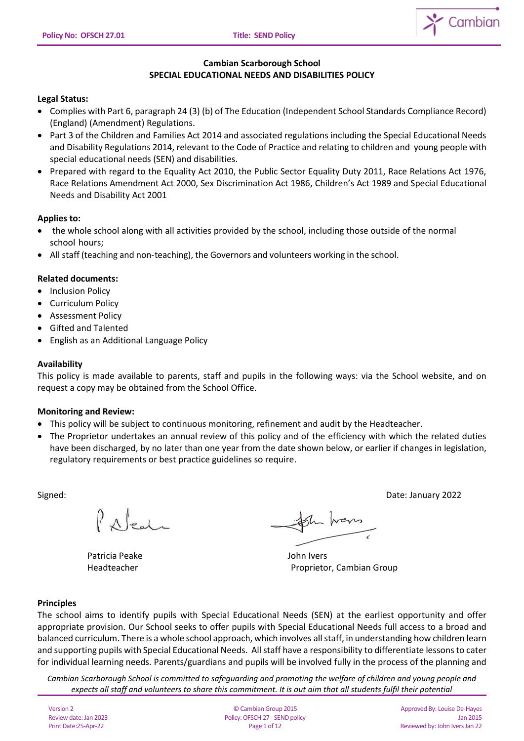

# **Cambian Scarborough School SPECIAL EDUCATIONAL NEEDS AND DISABILITIES POLICY**

# **Legal Status:**

- Complies with Part 6, paragraph 24 (3) (b) of The Education (Independent School Standards Compliance Record) (England) (Amendment) Regulations.
- Part 3 of the Children and Families Act 2014 and associated regulations including the Special Educational Needs and Disability Regulations 2014, relevant to the Code of Practice and relating to children and young people with special educational needs (SEN) and disabilities.
- Prepared with regard to the Equality Act 2010, the Public Sector Equality Duty 2011, Race Relations Act 1976, Race Relations Amendment Act 2000, Sex Discrimination Act 1986, Children's Act 1989 and Special Educational Needs and Disability Act 2001

# **Applies to:**

- the whole school along with all activities provided by the school, including those outside of the normal school hours;
- All staff (teaching and non-teaching), the Governors and volunteers working in the school.

# **Related documents:**

- Inclusion Policy
- Curriculum Policy
- Assessment Policy
- Gifted and Talented
- English as an Additional Language Policy

### **Availability**

This policy is made available to parents, staff and pupils in the following ways: via the School website, and on request a copy may be obtained from the School Office.

### **Monitoring and Review:**

- This policy will be subject to continuous monitoring, refinement and audit by the Headteacher.
- The Proprietor undertakes an annual review of this policy and of the efficiency with which the related duties have been discharged, by no later than one year from the date shown below, or earlier if changes in legislation, regulatory requirements or best practice guidelines so require.

Signed: Date: January 2022

 $\int$   $\Lambda$  leads

Patricia Peake John Ivers

Sh hans

Headteacher Proprietor, Cambian Group

### **Principles**

The school aims to identify pupils with Special Educational Needs (SEN) at the earliest opportunity and offer appropriate provision. Our School seeks to offer pupils with Special Educational Needs full access to a broad and balanced curriculum. There is a whole school approach, which involves all staff, in understanding how children learn and supporting pupils with Special Educational Needs. All staff have a responsibility to differentiate lessons to cater for individual learning needs. Parents/guardians and pupils will be involved fully in the process of the planning and

*Cambian Scarborough School is committed to safeguarding and promoting the welfare of children and young people and expects all staff and volunteers to share this commitment. It is out aim that all students fulfil their potential*

Version 2 Review date: Jan 2023 Print Date:25-Apr-22

© Cambian Group 2015 Policy:OFSCH 27 - SEND policy Page 1 of 12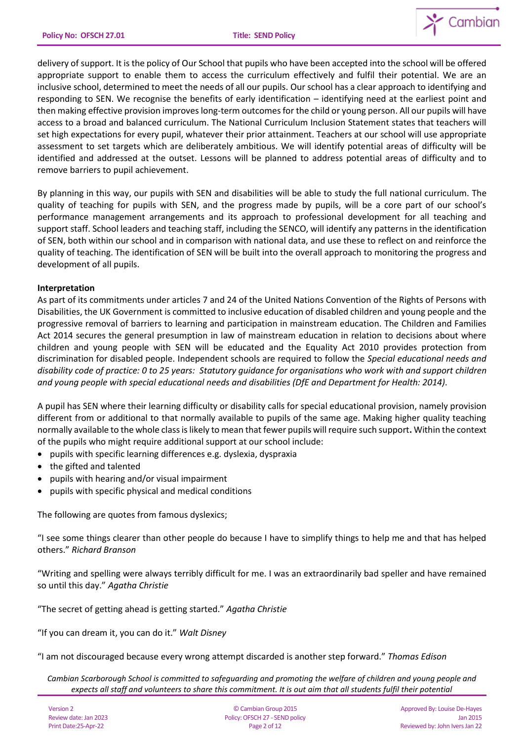

delivery of support. It is the policy of Our School that pupils who have been accepted into the school will be offered appropriate support to enable them to access the curriculum effectively and fulfil their potential. We are an inclusive school, determined to meet the needs of all our pupils. Our school has a clear approach to identifying and responding to SEN. We recognise the benefits of early identification – identifying need at the earliest point and then making effective provision improves long-term outcomes for the child or young person. All our pupils will have access to a broad and balanced curriculum. The National Curriculum Inclusion Statement states that teachers will set high expectations for every pupil, whatever their prior attainment. Teachers at our school will use appropriate assessment to set targets which are deliberately ambitious. We will identify potential areas of difficulty will be identified and addressed at the outset. Lessons will be planned to address potential areas of difficulty and to remove barriers to pupil achievement.

By planning in this way, our pupils with SEN and disabilities will be able to study the full national curriculum. The quality of teaching for pupils with SEN, and the progress made by pupils, will be a core part of our school's performance management arrangements and its approach to professional development for all teaching and support staff. School leaders and teaching staff, including the SENCO, will identify any patterns in the identification of SEN, both within our school and in comparison with national data, and use these to reflect on and reinforce the quality of teaching. The identification of SEN will be built into the overall approach to monitoring the progress and development of all pupils.

#### **Interpretation**

As part of its commitments under articles 7 and 24 of the United Nations Convention of the Rights of Persons with Disabilities, the UK Government is committed to inclusive education of disabled children and young people and the progressive removal of barriers to learning and participation in mainstream education. The Children and Families Act 2014 secures the general presumption in law of mainstream education in relation to decisions about where children and young people with SEN will be educated and the Equality Act 2010 provides protection from discrimination for disabled people. Independent schools are required to follow the *Special educational needs and disability code of practice: 0 to 25 years: Statutory guidance for organisations who work with and support children and young people with special educational needs and disabilities (DfE and Department for Health: 2014).*

A pupil has SEN where their learning difficulty or disability calls for special educational provision, namely provision different from or additional to that normally available to pupils of the same age. Making higher quality teaching normally available to the whole class is likely to mean that fewer pupils will require such support**.** Within the context of the pupils who might require additional support at our school include:

- pupils with specific learning differences e.g. dyslexia, dyspraxia
- the gifted and talented
- pupils with hearing and/or visual impairment
- pupils with specific physical and medical conditions

The following are quotes from famous dyslexics;

"I see some things clearer than other people do because I have to simplify things to help me and that has helped others." *Richard Branson*

"Writing and spelling were always terribly difficult for me. I was an extraordinarily bad speller and have remained so until this day." *Agatha Christie*

"The secret of getting ahead is getting started." *Agatha Christie*

"If you can dream it, you can do it." *Walt Disney*

"I am not discouraged because every wrong attempt discarded is another step forward." *Thomas Edison*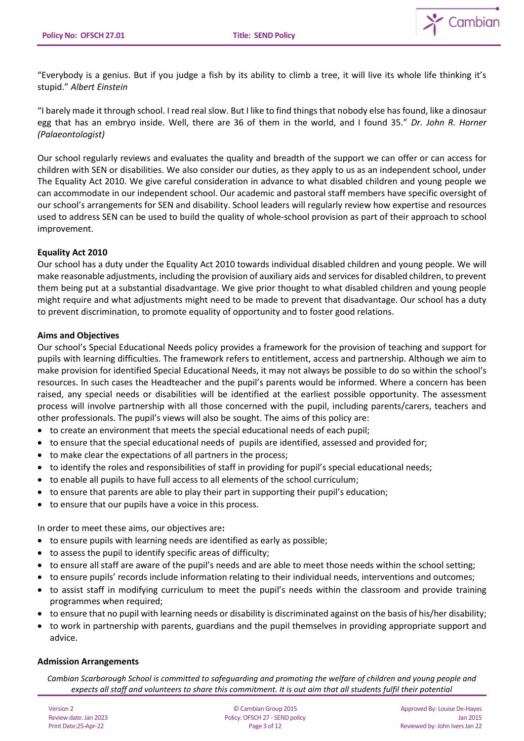

"Everybody is a genius. But if you judge a fish by its ability to climb a tree, it will live its whole life thinking it's stupid." *Albert Einstein*

"I barely made it through school. I read real slow. But I like to find things that nobody else has found, like a dinosaur egg that has an embryo inside. Well, there are 36 of them in the world, and I found 35." *Dr. John R. Horner (Palaeontologist)*

Our school regularly reviews and evaluates the quality and breadth of the support we can offer or can access for children with SEN or disabilities. We also consider our duties, as they apply to us as an independent school, under The Equality Act 2010. We give careful consideration in advance to what disabled children and young people we can accommodate in our independent school. Our academic and pastoral staff members have specific oversight of our school's arrangements for SEN and disability. School leaders will regularly review how expertise and resources used to address SEN can be used to build the quality of whole-school provision as part of their approach to school improvement.

### **Equality Act 2010**

Our school has a duty under the Equality Act 2010 towards individual disabled children and young people. We will make reasonable adjustments, including the provision of auxiliary aids and services for disabled children, to prevent them being put at a substantial disadvantage. We give prior thought to what disabled children and young people might require and what adjustments might need to be made to prevent that disadvantage. Our school has a duty to prevent discrimination, to promote equality of opportunity and to foster good relations.

#### **Aims and Objectives**

Our school's Special Educational Needs policy provides a framework for the provision of teaching and support for pupils with learning difficulties. The framework refers to entitlement, access and partnership. Although we aim to make provision for identified Special Educational Needs, it may not always be possible to do so within the school's resources. In such cases the Headteacher and the pupil's parents would be informed. Where a concern has been raised, any special needs or disabilities will be identified at the earliest possible opportunity. The assessment process will involve partnership with all those concerned with the pupil, including parents/carers, teachers and other professionals. The pupil's views will also be sought. The aims of this policy are:

- to create an environment that meets the special educational needs of each pupil;
- to ensure that the special educational needs of pupils are identified, assessed and provided for;
- to make clear the expectations of all partners in the process;
- to identify the roles and responsibilities of staff in providing for pupil's special educational needs;
- to enable all pupils to have full access to all elements of the school curriculum;
- to ensure that parents are able to play their part in supporting their pupil's education;
- to ensure that our pupils have a voice in this process.

In order to meet these aims, our objectives are**:** 

- to ensure pupils with learning needs are identified as early as possible;
- to assess the pupil to identify specific areas of difficulty;
- to ensure all staff are aware of the pupil's needs and are able to meet those needs within the school setting;
- to ensure pupils' records include information relating to their individual needs, interventions and outcomes;
- to assist staff in modifying curriculum to meet the pupil's needs within the classroom and provide training programmes when required;
- to ensure that no pupil with learning needs or disability is discriminated against on the basis of his/her disability;
- to work in partnership with parents, guardians and the pupil themselves in providing appropriate support and advice.

### **Admission Arrangements**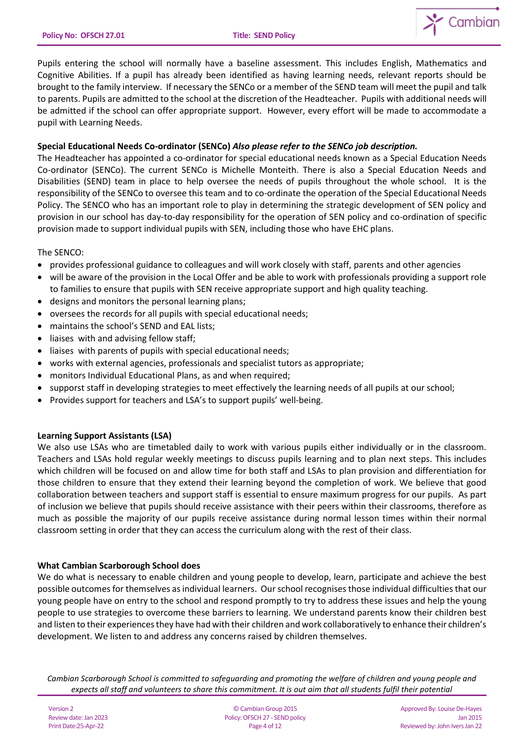

Pupils entering the school will normally have a baseline assessment. This includes English, Mathematics and Cognitive Abilities. If a pupil has already been identified as having learning needs, relevant reports should be brought to the family interview. If necessary the SENCo or a member of the SEND team will meet the pupil and talk to parents. Pupils are admitted to the school at the discretion of the Headteacher. Pupils with additional needs will be admitted if the school can offer appropriate support. However, every effort will be made to accommodate a pupil with Learning Needs.

## **Special Educational Needs Co-ordinator (SENCo)** *Also please refer to the SENCo job description.*

The Headteacher has appointed a co-ordinator for special educational needs known as a Special Education Needs Co-ordinator (SENCo). The current SENCo is Michelle Monteith. There is also a Special Education Needs and Disabilities (SEND) team in place to help oversee the needs of pupils throughout the whole school. It is the responsibility of the SENCo to oversee this team and to co-ordinate the operation of the Special Educational Needs Policy. The SENCO who has an important role to play in determining the strategic development of SEN policy and provision in our school has day-to-day responsibility for the operation of SEN policy and co-ordination of specific provision made to support individual pupils with SEN, including those who have EHC plans.

The SENCO:

- provides professional guidance to colleagues and will work closely with staff, parents and other agencies
- will be aware of the provision in the Local Offer and be able to work with professionals providing a support role to families to ensure that pupils with SEN receive appropriate support and high quality teaching.
- designs and monitors the personal learning plans;
- oversees the records for all pupils with special educational needs;
- maintains the school's SEND and EAL lists;
- liaises with and advising fellow staff;
- liaises with parents of pupils with special educational needs;
- works with external agencies, professionals and specialist tutors as appropriate;
- monitors Individual Educational Plans, as and when required;
- supporst staff in developing strategies to meet effectively the learning needs of all pupils at our school;
- Provides support for teachers and LSA's to support pupils' well-being.

### **Learning Support Assistants (LSA)**

We also use LSAs who are timetabled daily to work with various pupils either individually or in the classroom. Teachers and LSAs hold regular weekly meetings to discuss pupils learning and to plan next steps. This includes which children will be focused on and allow time for both staff and LSAs to plan provision and differentiation for those children to ensure that they extend their learning beyond the completion of work. We believe that good collaboration between teachers and support staff is essential to ensure maximum progress for our pupils. As part of inclusion we believe that pupils should receive assistance with their peers within their classrooms, therefore as much as possible the majority of our pupils receive assistance during normal lesson times within their normal classroom setting in order that they can access the curriculum along with the rest of their class.

### **What Cambian Scarborough School does**

We do what is necessary to enable children and young people to develop, learn, participate and achieve the best possible outcomesfor themselves as individual learners. Our school recognises those individual difficulties that our young people have on entry to the school and respond promptly to try to address these issues and help the young people to use strategies to overcome these barriers to learning. We understand parents know their children best and listen to their experiences they have had with their children and work collaboratively to enhance their children's development. We listen to and address any concerns raised by children themselves.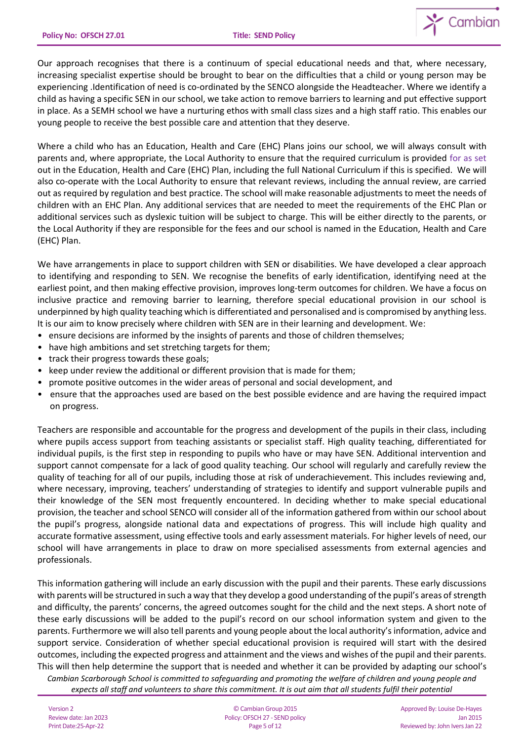

Our approach recognises that there is a continuum of special educational needs and that, where necessary, increasing specialist expertise should be brought to bear on the difficulties that a child or young person may be experiencing .Identification of need is co-ordinated by the SENCO alongside the Headteacher. Where we identify a child as having a specific SEN in our school, we take action to remove barriers to learning and put effective support in place. As a SEMH school we have a nurturing ethos with small class sizes and a high staff ratio. This enables our young people to receive the best possible care and attention that they deserve.

Where a child who has an Education, Health and Care (EHC) Plans joins our school, we will always consult with parents and, where appropriate, the Local Authority to ensure that the required curriculum is provided for as set out in the Education, Health and Care (EHC) Plan, including the full National Curriculum if this is specified. We will also co-operate with the Local Authority to ensure that relevant reviews, including the annual review, are carried out as required by regulation and best practice. The school will make reasonable adjustments to meet the needs of children with an EHC Plan. Any additional services that are needed to meet the requirements of the EHC Plan or additional services such as dyslexic tuition will be subject to charge. This will be either directly to the parents, or the Local Authority if they are responsible for the fees and our school is named in the Education, Health and Care (EHC) Plan.

We have arrangements in place to support children with SEN or disabilities. We have developed a clear approach to identifying and responding to SEN. We recognise the benefits of early identification, identifying need at the earliest point, and then making effective provision, improves long-term outcomes for children. We have a focus on inclusive practice and removing barrier to learning, therefore special educational provision in our school is underpinned by high quality teaching which is differentiated and personalised and is compromised by anything less. It is our aim to know precisely where children with SEN are in their learning and development. We:

- ensure decisions are informed by the insights of parents and those of children themselves;
- have high ambitions and set stretching targets for them;
- track their progress towards these goals;
- keep under review the additional or different provision that is made for them;
- promote positive outcomes in the wider areas of personal and social development, and
- ensure that the approaches used are based on the best possible evidence and are having the required impact on progress.

Teachers are responsible and accountable for the progress and development of the pupils in their class, including where pupils access support from teaching assistants or specialist staff. High quality teaching, differentiated for individual pupils, is the first step in responding to pupils who have or may have SEN. Additional intervention and support cannot compensate for a lack of good quality teaching. Our school will regularly and carefully review the quality of teaching for all of our pupils, including those at risk of underachievement. This includes reviewing and, where necessary, improving, teachers' understanding of strategies to identify and support vulnerable pupils and their knowledge of the SEN most frequently encountered. In deciding whether to make special educational provision, the teacher and school SENCO will consider all of the information gathered from within our school about the pupil's progress, alongside national data and expectations of progress. This will include high quality and accurate formative assessment, using effective tools and early assessment materials. For higher levels of need, our school will have arrangements in place to draw on more specialised assessments from external agencies and professionals.

This information gathering will include an early discussion with the pupil and their parents. These early discussions with parents will be structured in such a way that they develop a good understanding of the pupil's areas of strength and difficulty, the parents' concerns, the agreed outcomes sought for the child and the next steps. A short note of these early discussions will be added to the pupil's record on our school information system and given to the parents. Furthermore we will also tell parents and young people about the local authority's information, advice and support service. Consideration of whether special educational provision is required will start with the desired outcomes, including the expected progress and attainment and the views and wishes of the pupil and their parents. This will then help determine the support that is needed and whether it can be provided by adapting our school's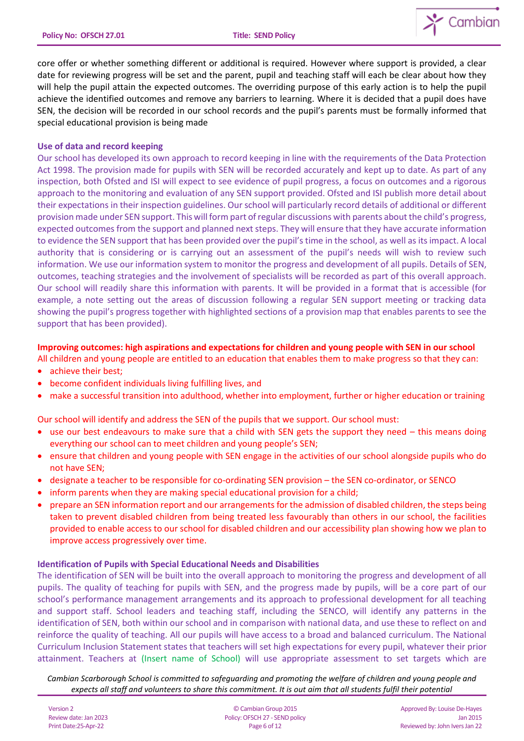

core offer or whether something different or additional is required. However where support is provided, a clear date for reviewing progress will be set and the parent, pupil and teaching staff will each be clear about how they will help the pupil attain the expected outcomes. The overriding purpose of this early action is to help the pupil achieve the identified outcomes and remove any barriers to learning. Where it is decided that a pupil does have SEN, the decision will be recorded in our school records and the pupil's parents must be formally informed that special educational provision is being made

#### **Use of data and record keeping**

Our school has developed its own approach to record keeping in line with the requirements of the Data Protection Act 1998. The provision made for pupils with SEN will be recorded accurately and kept up to date. As part of any inspection, both Ofsted and ISI will expect to see evidence of pupil progress, a focus on outcomes and a rigorous approach to the monitoring and evaluation of any SEN support provided. Ofsted and ISI publish more detail about their expectations in their inspection guidelines. Our school will particularly record details of additional or different provision made under SEN support. This will form part of regular discussions with parents about the child's progress, expected outcomes from the support and planned next steps. They will ensure that they have accurate information to evidence the SEN support that has been provided over the pupil's time in the school, as well as its impact. A local authority that is considering or is carrying out an assessment of the pupil's needs will wish to review such information. We use our information system to monitor the progress and development of all pupils. Details of SEN, outcomes, teaching strategies and the involvement of specialists will be recorded as part of this overall approach. Our school will readily share this information with parents. It will be provided in a format that is accessible (for example, a note setting out the areas of discussion following a regular SEN support meeting or tracking data showing the pupil's progress together with highlighted sections of a provision map that enables parents to see the support that has been provided).

#### **Improving outcomes: high aspirations and expectations for children and young people with SEN in our school**

All children and young people are entitled to an education that enables them to make progress so that they can:

- achieve their best;
- become confident individuals living fulfilling lives, and
- make a successful transition into adulthood, whether into employment, further or higher education or training

Our school will identify and address the SEN of the pupils that we support. Our school must:

- use our best endeavours to make sure that a child with SEN gets the support they need this means doing everything our school can to meet children and young people's SEN;
- ensure that children and young people with SEN engage in the activities of our school alongside pupils who do not have SEN;
- designate a teacher to be responsible for co-ordinating SEN provision the SEN co-ordinator, or SENCO
- inform parents when they are making special educational provision for a child;
- prepare an SEN information report and our arrangements for the admission of disabled children, the steps being taken to prevent disabled children from being treated less favourably than others in our school, the facilities provided to enable access to our school for disabled children and our accessibility plan showing how we plan to improve access progressively over time.

### **Identification of Pupils with Special Educational Needs and Disabilities**

The identification of SEN will be built into the overall approach to monitoring the progress and development of all pupils. The quality of teaching for pupils with SEN, and the progress made by pupils, will be a core part of our school's performance management arrangements and its approach to professional development for all teaching and support staff. School leaders and teaching staff, including the SENCO, will identify any patterns in the identification of SEN, both within our school and in comparison with national data, and use these to reflect on and reinforce the quality of teaching. All our pupils will have access to a broad and balanced curriculum. The National Curriculum Inclusion Statement states that teachers will set high expectations for every pupil, whatever their prior attainment. Teachers at (Insert name of School) will use appropriate assessment to set targets which are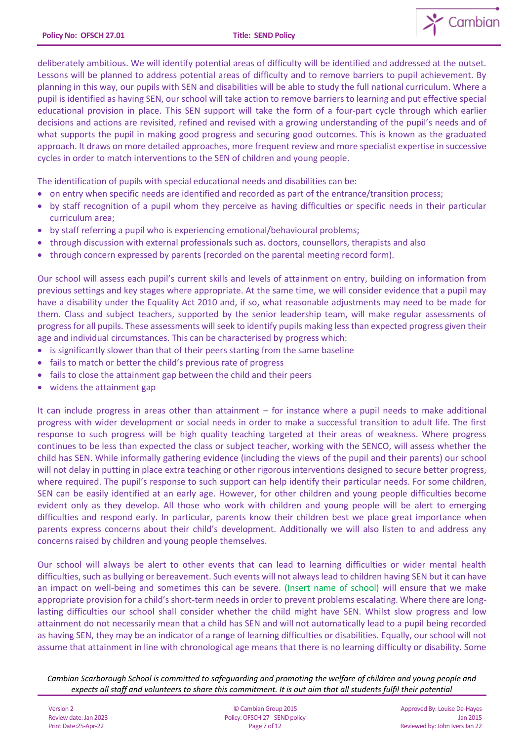

deliberately ambitious. We will identify potential areas of difficulty will be identified and addressed at the outset. Lessons will be planned to address potential areas of difficulty and to remove barriers to pupil achievement. By planning in this way, our pupils with SEN and disabilities will be able to study the full national curriculum. Where a pupil is identified as having SEN, our school will take action to remove barriers to learning and put effective special educational provision in place. This SEN support will take the form of a four-part cycle through which earlier decisions and actions are revisited, refined and revised with a growing understanding of the pupil's needs and of what supports the pupil in making good progress and securing good outcomes. This is known as the graduated approach. It draws on more detailed approaches, more frequent review and more specialist expertise in successive cycles in order to match interventions to the SEN of children and young people.

The identification of pupils with special educational needs and disabilities can be:

- on entry when specific needs are identified and recorded as part of the entrance/transition process;
- by staff recognition of a pupil whom they perceive as having difficulties or specific needs in their particular curriculum area;
- by staff referring a pupil who is experiencing emotional/behavioural problems;
- through discussion with external professionals such as. doctors, counsellors, therapists and also
- through concern expressed by parents (recorded on the parental meeting record form).

Our school will assess each pupil's current skills and levels of attainment on entry, building on information from previous settings and key stages where appropriate. At the same time, we will consider evidence that a pupil may have a disability under the Equality Act 2010 and, if so, what reasonable adjustments may need to be made for them. Class and subject teachers, supported by the senior leadership team, will make regular assessments of progress for all pupils. These assessments will seek to identify pupils making less than expected progress given their age and individual circumstances. This can be characterised by progress which:

- is significantly slower than that of their peers starting from the same baseline
- fails to match or better the child's previous rate of progress
- fails to close the attainment gap between the child and their peers
- widens the attainment gap

It can include progress in areas other than attainment – for instance where a pupil needs to make additional progress with wider development or social needs in order to make a successful transition to adult life. The first response to such progress will be high quality teaching targeted at their areas of weakness. Where progress continues to be less than expected the class or subject teacher, working with the SENCO, will assess whether the child has SEN. While informally gathering evidence (including the views of the pupil and their parents) our school will not delay in putting in place extra teaching or other rigorous interventions designed to secure better progress, where required. The pupil's response to such support can help identify their particular needs. For some children, SEN can be easily identified at an early age. However, for other children and young people difficulties become evident only as they develop. All those who work with children and young people will be alert to emerging difficulties and respond early. In particular, parents know their children best we place great importance when parents express concerns about their child's development. Additionally we will also listen to and address any concerns raised by children and young people themselves.

Our school will always be alert to other events that can lead to learning difficulties or wider mental health difficulties, such as bullying or bereavement. Such events will not always lead to children having SEN but it can have an impact on well-being and sometimes this can be severe. (Insert name of school) will ensure that we make appropriate provision for a child's short-term needs in order to prevent problems escalating. Where there are longlasting difficulties our school shall consider whether the child might have SEN. Whilst slow progress and low attainment do not necessarily mean that a child has SEN and will not automatically lead to a pupil being recorded as having SEN, they may be an indicator of a range of learning difficulties or disabilities. Equally, our school will not assume that attainment in line with chronological age means that there is no learning difficulty or disability. Some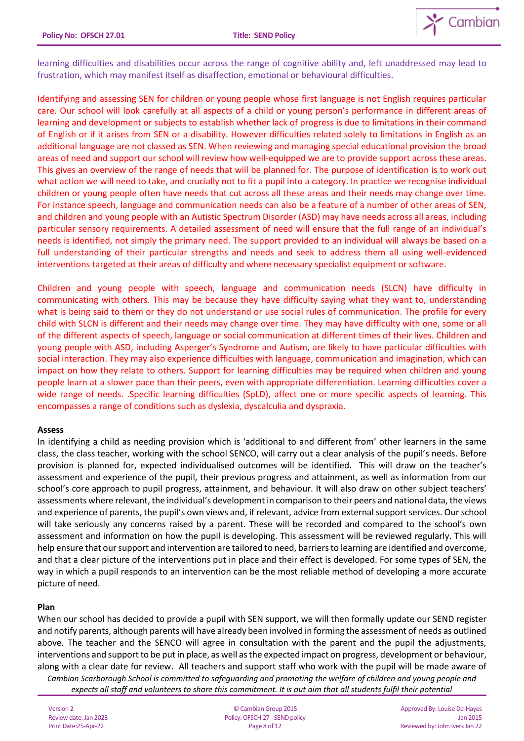

learning difficulties and disabilities occur across the range of cognitive ability and, left unaddressed may lead to frustration, which may manifest itself as disaffection, emotional or behavioural difficulties.

Identifying and assessing SEN for children or young people whose first language is not English requires particular care. Our school will look carefully at all aspects of a child or young person's performance in different areas of learning and development or subjects to establish whether lack of progress is due to limitations in their command of English or if it arises from SEN or a disability. However difficulties related solely to limitations in English as an additional language are not classed as SEN. When reviewing and managing special educational provision the broad areas of need and support our school will review how well-equipped we are to provide support across these areas. This gives an overview of the range of needs that will be planned for. The purpose of identification is to work out what action we will need to take, and crucially not to fit a pupil into a category. In practice we recognise individual children or young people often have needs that cut across all these areas and their needs may change over time. For instance speech, language and communication needs can also be a feature of a number of other areas of SEN, and children and young people with an Autistic Spectrum Disorder (ASD) may have needs across all areas, including particular sensory requirements. A detailed assessment of need will ensure that the full range of an individual's needs is identified, not simply the primary need. The support provided to an individual will always be based on a full understanding of their particular strengths and needs and seek to address them all using well-evidenced interventions targeted at their areas of difficulty and where necessary specialist equipment or software.

Children and young people with speech, language and communication needs (SLCN) have difficulty in communicating with others. This may be because they have difficulty saying what they want to, understanding what is being said to them or they do not understand or use social rules of communication. The profile for every child with SLCN is different and their needs may change over time. They may have difficulty with one, some or all of the different aspects of speech, language or social communication at different times of their lives. Children and young people with ASD, including Asperger's Syndrome and Autism, are likely to have particular difficulties with social interaction. They may also experience difficulties with language, communication and imagination, which can impact on how they relate to others. Support for learning difficulties may be required when children and young people learn at a slower pace than their peers, even with appropriate differentiation. Learning difficulties cover a wide range of needs. .Specific learning difficulties (SpLD), affect one or more specific aspects of learning. This encompasses a range of conditions such as dyslexia, dyscalculia and dyspraxia.

### **Assess**

In identifying a child as needing provision which is 'additional to and different from' other learners in the same class, the class teacher, working with the school SENCO, will carry out a clear analysis of the pupil's needs. Before provision is planned for, expected individualised outcomes will be identified. This will draw on the teacher's assessment and experience of the pupil, their previous progress and attainment, as well as information from our school's core approach to pupil progress, attainment, and behaviour. It will also draw on other subject teachers' assessments where relevant, the individual's development in comparison to their peers and national data, the views and experience of parents, the pupil's own views and, if relevant, advice from external support services. Our school will take seriously any concerns raised by a parent. These will be recorded and compared to the school's own assessment and information on how the pupil is developing. This assessment will be reviewed regularly. This will help ensure that our support and intervention are tailored to need, barriers to learning are identified and overcome, and that a clear picture of the interventions put in place and their effect is developed. For some types of SEN, the way in which a pupil responds to an intervention can be the most reliable method of developing a more accurate picture of need.

### **Plan**

When our school has decided to provide a pupil with SEN support, we will then formally update our SEND register and notify parents, although parents will have already been involved in forming the assessment of needs as outlined above. The teacher and the SENCO will agree in consultation with the parent and the pupil the adjustments, interventions and support to be put in place, as well as the expected impact on progress, development or behaviour, along with a clear date for review. All teachers and support staff who work with the pupil will be made aware of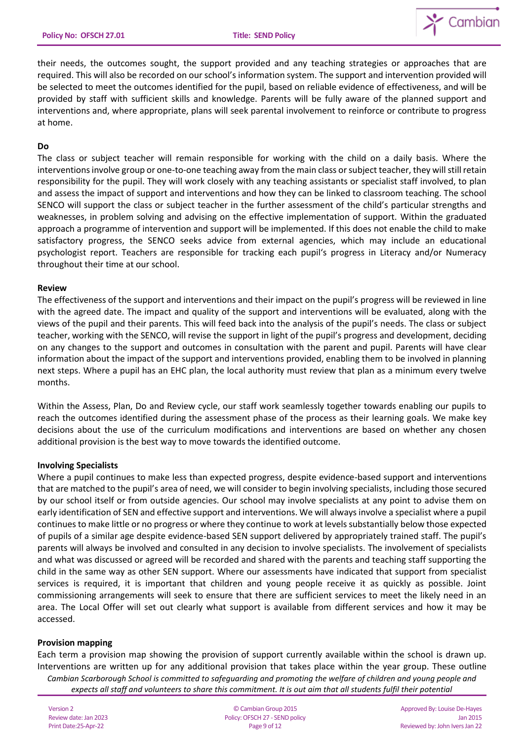

their needs, the outcomes sought, the support provided and any teaching strategies or approaches that are required. This will also be recorded on our school's information system. The support and intervention provided will be selected to meet the outcomes identified for the pupil, based on reliable evidence of effectiveness, and will be provided by staff with sufficient skills and knowledge. Parents will be fully aware of the planned support and interventions and, where appropriate, plans will seek parental involvement to reinforce or contribute to progress at home.

#### **Do**

The class or subject teacher will remain responsible for working with the child on a daily basis. Where the interventions involve group or one-to-one teaching away from the main class or subject teacher, they will still retain responsibility for the pupil. They will work closely with any teaching assistants or specialist staff involved, to plan and assess the impact of support and interventions and how they can be linked to classroom teaching. The school SENCO will support the class or subject teacher in the further assessment of the child's particular strengths and weaknesses, in problem solving and advising on the effective implementation of support. Within the graduated approach a programme of intervention and support will be implemented. If this does not enable the child to make satisfactory progress, the SENCO seeks advice from external agencies, which may include an educational psychologist report. Teachers are responsible for tracking each pupil's progress in Literacy and/or Numeracy throughout their time at our school.

#### **Review**

The effectiveness of the support and interventions and their impact on the pupil's progress will be reviewed in line with the agreed date. The impact and quality of the support and interventions will be evaluated, along with the views of the pupil and their parents. This will feed back into the analysis of the pupil's needs. The class or subject teacher, working with the SENCO, will revise the support in light of the pupil's progress and development, deciding on any changes to the support and outcomes in consultation with the parent and pupil. Parents will have clear information about the impact of the support and interventions provided, enabling them to be involved in planning next steps. Where a pupil has an EHC plan, the local authority must review that plan as a minimum every twelve months.

Within the Assess, Plan, Do and Review cycle, our staff work seamlessly together towards enabling our pupils to reach the outcomes identified during the assessment phase of the process as their learning goals. We make key decisions about the use of the curriculum modifications and interventions are based on whether any chosen additional provision is the best way to move towards the identified outcome.

### **Involving Specialists**

Where a pupil continues to make less than expected progress, despite evidence-based support and interventions that are matched to the pupil's area of need, we will consider to begin involving specialists, including those secured by our school itself or from outside agencies. Our school may involve specialists at any point to advise them on early identification of SEN and effective support and interventions. We will always involve a specialist where a pupil continues to make little or no progress or where they continue to work at levels substantially below those expected of pupils of a similar age despite evidence-based SEN support delivered by appropriately trained staff. The pupil's parents will always be involved and consulted in any decision to involve specialists. The involvement of specialists and what was discussed or agreed will be recorded and shared with the parents and teaching staff supporting the child in the same way as other SEN support. Where our assessments have indicated that support from specialist services is required, it is important that children and young people receive it as quickly as possible. Joint commissioning arrangements will seek to ensure that there are sufficient services to meet the likely need in an area. The Local Offer will set out clearly what support is available from different services and how it may be accessed.

#### **Provision mapping**

Each term a provision map showing the provision of support currently available within the school is drawn up. Interventions are written up for any additional provision that takes place within the year group. These outline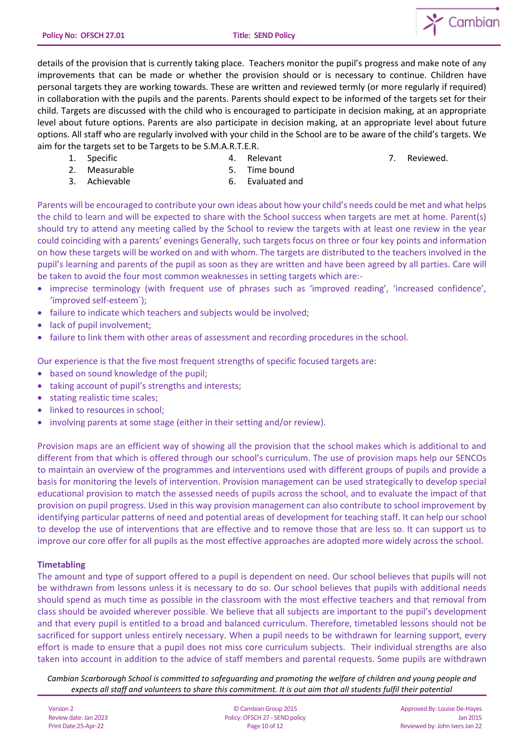

details of the provision that is currently taking place. Teachers monitor the pupil's progress and make note of any improvements that can be made or whether the provision should or is necessary to continue. Children have personal targets they are working towards. These are written and reviewed termly (or more regularly if required) in collaboration with the pupils and the parents. Parents should expect to be informed of the targets set for their child. Targets are discussed with the child who is encouraged to participate in decision making, at an appropriate level about future options. Parents are also participate in decision making, at an appropriate level about future options. All staff who are regularly involved with your child in the School are to be aware of the child's targets. We aim for the targets set to be Targets to be S.M.A.R.T.E.R.

1. Specific

4. Relevant

7. Reviewed.

- 2. Measurable
- 3. Achievable

5. Time bound 6. Evaluated and

Parents will be encouraged to contribute your own ideas about how your child's needs could be met and what helps the child to learn and will be expected to share with the School success when targets are met at home. Parent(s) should try to attend any meeting called by the School to review the targets with at least one review in the year could coinciding with a parents' evenings Generally, such targets focus on three or four key points and information on how these targets will be worked on and with whom. The targets are distributed to the teachers involved in the pupil's learning and parents of the pupil as soon as they are written and have been agreed by all parties. Care will be taken to avoid the four most common weaknesses in setting targets which are:-

- imprecise terminology (with frequent use of phrases such as 'improved reading', 'increased confidence', 'improved self-esteem`);
- failure to indicate which teachers and subjects would be involved;
- lack of pupil involvement;
- failure to link them with other areas of assessment and recording procedures in the school.

Our experience is that the five most frequent strengths of specific focused targets are:

- based on sound knowledge of the pupil;
- taking account of pupil's strengths and interests;
- stating realistic time scales;
- linked to resources in school;
- involving parents at some stage (either in their setting and/or review).

Provision maps are an efficient way of showing all the provision that the school makes which is additional to and different from that which is offered through our school's curriculum. The use of provision maps help our SENCOs to maintain an overview of the programmes and interventions used with different groups of pupils and provide a basis for monitoring the levels of intervention. Provision management can be used strategically to develop special educational provision to match the assessed needs of pupils across the school, and to evaluate the impact of that provision on pupil progress. Used in this way provision management can also contribute to school improvement by identifying particular patterns of need and potential areas of development for teaching staff. It can help our school to develop the use of interventions that are effective and to remove those that are less so. It can support us to improve our core offer for all pupils as the most effective approaches are adopted more widely across the school.

### **Timetabling**

The amount and type of support offered to a pupil is dependent on need. Our school believes that pupils will not be withdrawn from lessons unless it is necessary to do so. Our school believes that pupils with additional needs should spend as much time as possible in the classroom with the most effective teachers and that removal from class should be avoided wherever possible. We believe that all subjects are important to the pupil's development and that every pupil is entitled to a broad and balanced curriculum. Therefore, timetabled lessons should not be sacrificed for support unless entirely necessary. When a pupil needs to be withdrawn for learning support, every effort is made to ensure that a pupil does not miss core curriculum subjects. Their individual strengths are also taken into account in addition to the advice of staff members and parental requests. Some pupils are withdrawn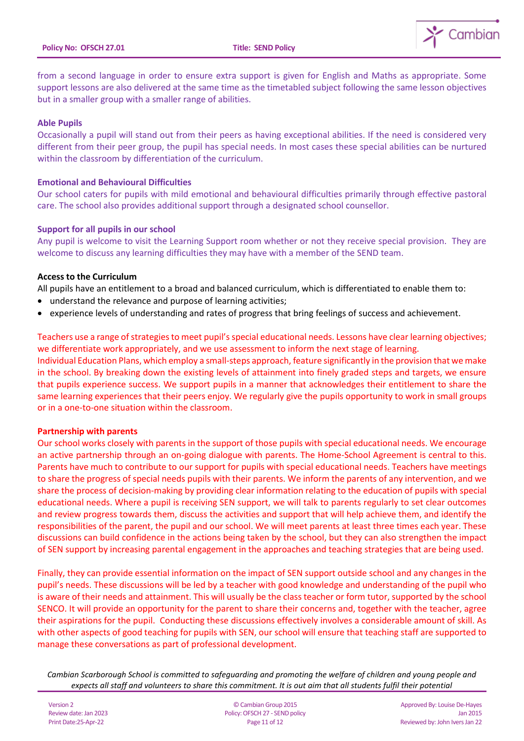

from a second language in order to ensure extra support is given for English and Maths as appropriate. Some support lessons are also delivered at the same time as the timetabled subject following the same lesson objectives but in a smaller group with a smaller range of abilities.

#### **Able Pupils**

Occasionally a pupil will stand out from their peers as having exceptional abilities. If the need is considered very different from their peer group, the pupil has special needs. In most cases these special abilities can be nurtured within the classroom by differentiation of the curriculum.

#### **Emotional and Behavioural Difficulties**

Our school caters for pupils with mild emotional and behavioural difficulties primarily through effective pastoral care. The school also provides additional support through a designated school counsellor.

#### **Support for all pupils in our school**

Any pupil is welcome to visit the Learning Support room whether or not they receive special provision. They are welcome to discuss any learning difficulties they may have with a member of the SEND team.

#### **Access to the Curriculum**

All pupils have an entitlement to a broad and balanced curriculum, which is differentiated to enable them to:

- understand the relevance and purpose of learning activities;
- experience levels of understanding and rates of progress that bring feelings of success and achievement.

Teachers use a range of strategies to meet pupil's special educational needs. Lessons have clear learning objectives; we differentiate work appropriately, and we use assessment to inform the next stage of learning.

Individual Education Plans, which employ a small-steps approach, feature significantly in the provision that we make in the school. By breaking down the existing levels of attainment into finely graded steps and targets, we ensure that pupils experience success. We support pupils in a manner that acknowledges their entitlement to share the same learning experiences that their peers enjoy. We regularly give the pupils opportunity to work in small groups or in a one-to-one situation within the classroom.

#### **Partnership with parents**

Our school works closely with parents in the support of those pupils with special educational needs. We encourage an active partnership through an on-going dialogue with parents. The Home-School Agreement is central to this. Parents have much to contribute to our support for pupils with special educational needs. Teachers have meetings to share the progress of special needs pupils with their parents. We inform the parents of any intervention, and we share the process of decision-making by providing clear information relating to the education of pupils with special educational needs. Where a pupil is receiving SEN support, we will talk to parents regularly to set clear outcomes and review progress towards them, discuss the activities and support that will help achieve them, and identify the responsibilities of the parent, the pupil and our school. We will meet parents at least three times each year. These discussions can build confidence in the actions being taken by the school, but they can also strengthen the impact of SEN support by increasing parental engagement in the approaches and teaching strategies that are being used.

Finally, they can provide essential information on the impact of SEN support outside school and any changes in the pupil's needs. These discussions will be led by a teacher with good knowledge and understanding of the pupil who is aware of their needs and attainment. This will usually be the class teacher or form tutor, supported by the school SENCO. It will provide an opportunity for the parent to share their concerns and, together with the teacher, agree their aspirations for the pupil. Conducting these discussions effectively involves a considerable amount of skill. As with other aspects of good teaching for pupils with SEN, our school will ensure that teaching staff are supported to manage these conversations as part of professional development.